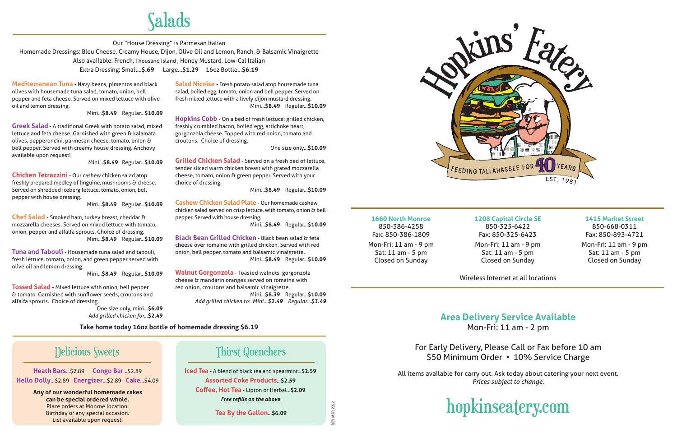## **Area Delivery Service Available**

Mon-Fri: 11 am - 2 pm

For Early Delivery, Please Call or Fax before 10 am \$50 Minimum Order • 10% Service Charge

All items available for carry out. Ask today about catering your next event. *Prices subject to change.*

# hopkinseatery.com

### **1660 North Monroe**

850-386-4258 Fax: 850-386-1809 Mon-Fri: 11 am - 9 pm Sat: 11 am - 5 pm Closed on Sunday

#### **1208 Capital Circle SE** 850-325-6422 Fax: 850-325-6423

Mon-Fri: 11 am - 9 pm Sat: 11 am - 5 pm Closed on Sunday

### **1415 Market Street** 850-668-0311 Fax: 850-893-4721 Mon-Fri: 11 am - 9 pm Sat: 11 am - 5 pm Closed on Sunday

Wireless Internet at all locations



Our "House Dressing" is Parmesan Italian

Homemade Dressings: Bleu Cheese, Creamy House, Dijon, Olive Oil and Lemon, Ranch, & Balsamic Vinaigrette

Also available: French, Thousand Island , Honey Mustard, Low-Cal Italian

Extra Dressing: Small...**\$.69** Large...**\$1.29** 16oz Bottle...**\$6.19** 

**Mediterranean Tuna** - Navy beans, pimentos and black olives with housemade tuna salad, tomato, onion, bell pepper and feta cheese. Served on mixed lettuce with olive oil and lemon dressing.

Mini...**\$8.49** Regular...**\$10.09**

**Greek Salad** - A traditional Greek with potato salad, mixed lettuce and feta cheese. Garnished with green & kalamata olives, pepperoncini, parmesan cheese, tomato, onion & bell pepper. Served with creamy house dressing. Anchovy available upon request!

Mini...**\$8.49** Regular...**\$10.09**

**Chicken Tetrazzini** - Our cashew chicken salad atop freshly prepared medley of linguine, mushrooms & cheese. Served on shredded iceberg lettuce, tomato, onion, bell pepper with house dressing.

Mini...**\$8.49** Regular...**\$10.09**

**Chef Salad** - Smoked ham, turkey breast, cheddar & mozzarella cheeses. Served on mixed lettuce with tomato, onion, pepper and alfalfa sprouts. Choice of dressing. Mini...**\$8.49** Regular...**\$10.09**

**Tuna and Tabouli** - Housemade tuna salad and tabouli, fresh lettuce, tomato, onion, and green pepper served with olive oil and lemon dressing.

Mini...**\$8.49** Regular...**\$10.09**

**Tossed Salad** - Mixed lettuce with onion, bell pepper & tomato. Garnished with sunflower seeds, croutons and alfalfa sprouts. Choice of dressing.

One size only, mini...**\$6.09** *Add grilled chicken for...***\$2.49**

**Salad Nicoise** - Fresh potato salad atop housemade tuna salad, boiled egg, tomato, onion and bell pepper. Served on fresh mixed lettuce with a lively dijon mustard dressing. Mini...**\$8.49** Regular...**\$10.09**

**Hopkins Cobb** - On a bed of fresh lettuce: grilled chicken, freshly crumbled bacon, boiled egg, artichoke heart, gorgonzola cheese. Topped with red onion, tomato and croutons. Choice of dressing.

One size only...**\$10.09**

**Grilled Chicken Salad** - Served on a fresh bed of lettuce, tender sliced warm chicken breast with grated mozzarella cheese, tomato, onion & green pepper. Served with your choice of dressing.

Mini...**\$8.49** Regular...**\$10.09**

**Cashew Chicken Salad Plate** - Our homemade cashew chicken salad served on crisp lettuce, with tomato, onion & bell pepper. Served with house dressing.

Mini...**\$8.49** Regular...**\$10.09**

**Black Bean Grilled Chicken** - Black bean salad & feta cheese over romaine with grilled chicken. Served with red onion, bell pepper, tomato and balsamic vinaigrette. Mini...**\$8.49** Regular...**\$10.09**

**Walnut Gorgonzola** - Toasted walnuts, gorgonzola cheese & mandarin oranges served on romaine with red onion, croutons and balsamic vinaigrette. Mini...**\$8.39** Regular...**\$10.09**

*Add grilled chicken to: Mini...\$2.49 Regular...\$3.49*

**Iced Tea** - A blend of black tea and spearmint...**\$2.59 Assorted Coke Products**...**\$2.59 Coffee, Hot Tea** - Lipton or Herbal...**\$2.09** *Free refills on the above*

**Tea By the Gallon**...**\$6.09**

**Heath Bars**...\$2.89 **Congo Bar**...\$2.89 **Hello Dolly**...\$2.89 **Energizer**...\$2.89 **Cake**...\$4.09

> **Any of our wonderful homemade cakes can be special ordered whole.** Place orders at Monroe location. Birthday or any special occasion. List available upon request.

## Delicious Sweets Thirst Quenchers

**Take home today 16oz bottle of homemade dressing \$6.19**

REV MAR 2022

REV MAR 2022